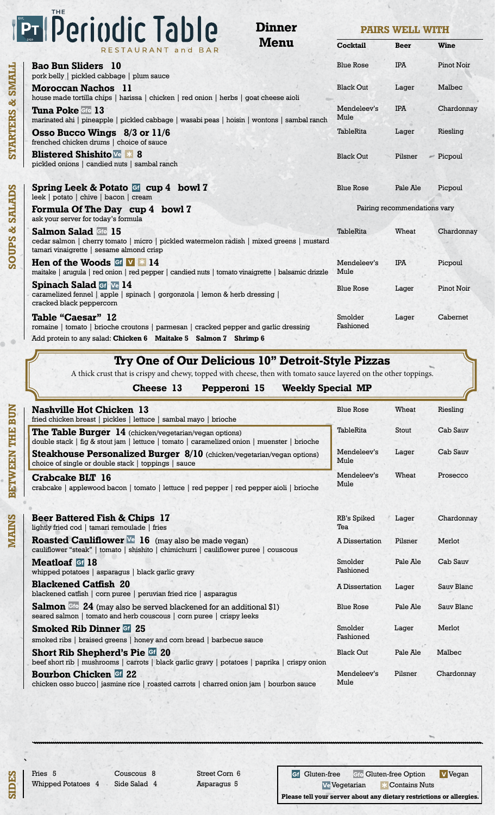# **Principerindic Table**

**Dinner Menu**

**PAIRS WELL WITH**

| Menu<br>RESTAURANT and BAR                                                                                                                                                  | <b>Cocktail</b>      | <b>Beer</b>                  | <b>Wine</b>       |
|-----------------------------------------------------------------------------------------------------------------------------------------------------------------------------|----------------------|------------------------------|-------------------|
| <b>Bao Bun Sliders</b> 10<br>pork belly   pickled cabbage   plum sauce                                                                                                      | <b>Blue Rose</b>     | <b>IPA</b>                   | <b>Pinot Noir</b> |
| Moroccan Nachos 11<br>house made tortilla chips   harissa   chicken   red onion   herbs   goat cheese aioli                                                                 | <b>Black Out</b>     | Lager                        | Malbec            |
| Tuna Poke Gfo 13<br>marinated ahi   pineapple   pickled cabbage   wasabi peas   hoisin   wontons   sambal ranch                                                             | Mendeleev's<br>Mule  | <b>IPA</b>                   | Chardonnay        |
| Osso Bucco Wings 8/3 or 11/6<br>frenched chicken drums   choice of sauce                                                                                                    | <b>TableRita</b>     | Lager                        | Riesling          |
| <b>Blistered Shishito</b> Ve * 8<br>pickled onions   candied nuts   sambal ranch                                                                                            | <b>Black Out</b>     | Pilsner                      | $\equiv$ Picpoul  |
| Spring Leek & Potato G cup 4 bowl 7<br>leek   potato   chive   bacon   cream                                                                                                | <b>Blue Rose</b>     | Pale Ale                     | Picpoul           |
| Formula Of The Day cup 4 bowl 7<br>ask your server for today's formula                                                                                                      |                      | Pairing recommendations vary |                   |
| Salmon Salad Gto 15<br>cedar salmon   cherry tomato   micro   pickled watermelon radish   mixed greens   mustard<br>tamari vinaigrette   sesame almond crisp                | <b>TableRita</b>     | Wheat                        | Chardonnay        |
| Hen of the Woods $GF \times 14$<br>maitake   arugula   red onion   red pepper   candied nuts   tomato vinaigrette   balsamic drizzle                                        | Mendeleev's<br>Mule  | <b>IPA</b>                   | Picpoul           |
| <b>Spinach Salad Gf</b> Ve 14<br>caramelized fennel   apple   spinach   gorgonzola   lemon & herb dressing  <br>cracked black peppercorn                                    | <b>Blue Rose</b>     | Lager                        | Pinot Noir        |
| Table "Caesar" 12<br>romaine   tomato   brioche croutons   parmesan   cracked pepper and garlic dressing<br>Add protein to any salad: Chicken 6 Maitake 5 Salmon 7 Shrimp 6 | Smolder<br>Fashioned | Lager                        | Cabernet          |

#### **Try One of Our Delicious 10" Detroit-Style Pizzas**

A thick crust that is crispy and chewy, topped with cheese, then with tomato sauce layered on the other toppings.

- 
- **Cheese 13 Pepperoni 15 Weekly Special MP**

| <b>Nashville Hot Chicken 13</b><br>fried chicken breast   pickles   lettuce   sambal mayo   brioche                                                     | <b>Blue Rose</b>     | Wheat    | Riesling   |
|---------------------------------------------------------------------------------------------------------------------------------------------------------|----------------------|----------|------------|
| The Table Burger 14 (chicken/vegetarian/vegan options)<br>double stack   fig & stout jam   lettuce   tomato   caramelized onion   muenster   brioche    | TableRita            | Stout    | Cab Sauv   |
| <b>Steakhouse Personalized Burger <math>8/10</math></b> (chicken/vegetarian/vegan options)<br>choice of single or double stack   toppings   sauce       | Mendeleev's<br>Mule  | Lager    | Cab Sauv   |
| Crabcake BLT 16<br>crabcake   applewood bacon   tomato   lettuce   red pepper   red pepper aioli   brioche                                              | Mendeleev's<br>Mule  | Wheat    | Prosecco   |
| Beer Battered Fish & Chips 17<br>lightly fried cod   tamari remoulade   fries                                                                           | RB's Spiked<br>Tea   | Lager    | Chardonnay |
| <b>Roasted Cauliflower</b> $\sqrt{16}$ (may also be made vegan)<br>cauliflower "steak"   tomato   shishito   chimichurri   cauliflower puree   couscous | A Dissertation       | Pilsner  | Merlot     |
| <b>Meatloaf</b> Gf 18<br>whipped potatoes   asparagus   black garlic gravy                                                                              | Smolder<br>Fashioned | Pale Ale | Cab Sauv   |
| <b>Blackened Catfish 20</b><br>blackened catfish   corn puree   peruvian fried rice   asparagus                                                         | A Dissertation       | Lager    | Sauv Blanc |
| Salmon Gfo 24 (may also be served blackened for an additional \$1)<br>seared salmon   tomato and herb couscous   com puree   crispy leeks               | <b>Blue Rose</b>     | Pale Ale | Sauv Blanc |
| <b>Smoked Rib Dinner Gf 25</b><br>smoked ribs   braised greens   honey and corn bread   barbecue sauce                                                  | Smolder<br>Fashioned | Lager    | Merlot     |
| <b>Short Rib Shepherd's Pie Gi 20</b><br>beef short rib   mushrooms   carrots   black garlic gravy   potatoes   paprika   crispy onion                  | <b>Black Out</b>     | Pale Ale | Malbec     |
| <b>Bourbon Chicken Gi 22</b><br>chicken osso bucco   jasmine rice   roasted carrots   charred onion jam   bourbon sauce                                 | Mendeleev's<br>Mule  | Pilsner  | Chardonnav |

**SIDES**

Fries 5 Whipped Potatoes 4

Couscous 8 Side Salad 4 Street Corn 6 Asparagus 5

Gf Gluten-free Gfo Gluten-free Option V Vegan Ve Vegetarian \* Contains Nuts **Please tell your server about any dietary restrictions or allergies.**



**STARTERS & SMALL SOUPS & SALADS BETWEEN THE BUN MAINS BETWEEN THE BUN** 

STARTERS & SMALL

**SOUPS & SALADS**